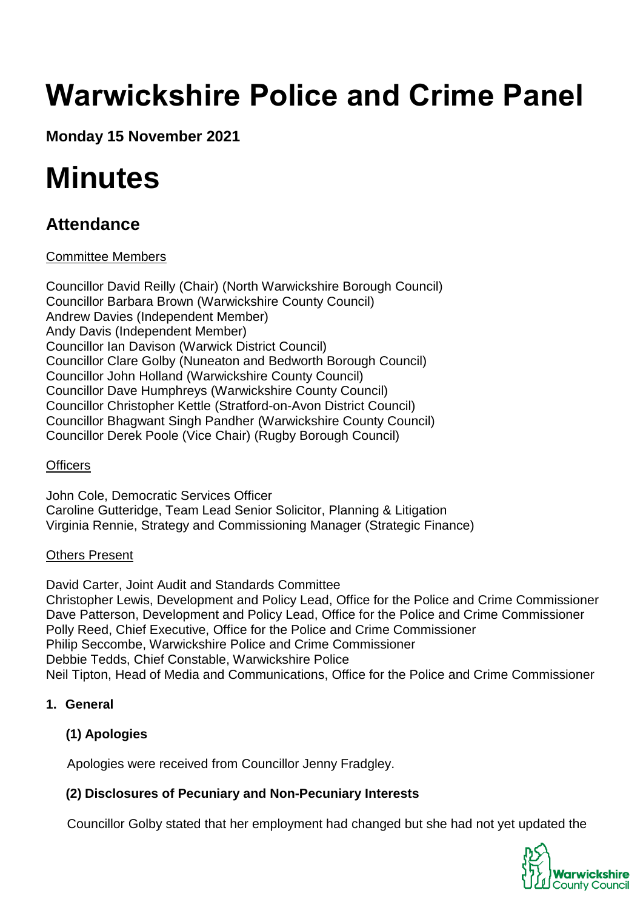# **Warwickshire Police and Crime Panel**

**Monday 15 November 2021**

## **Minutes**

### **Attendance**

#### Committee Members

Councillor David Reilly (Chair) (North Warwickshire Borough Council) Councillor Barbara Brown (Warwickshire County Council) Andrew Davies (Independent Member) Andy Davis (Independent Member) Councillor Ian Davison (Warwick District Council) Councillor Clare Golby (Nuneaton and Bedworth Borough Council) Councillor John Holland (Warwickshire County Council) Councillor Dave Humphreys (Warwickshire County Council) Councillor Christopher Kettle (Stratford-on-Avon District Council) Councillor Bhagwant Singh Pandher (Warwickshire County Council) Councillor Derek Poole (Vice Chair) (Rugby Borough Council)

#### **Officers**

John Cole, Democratic Services Officer Caroline Gutteridge, Team Lead Senior Solicitor, Planning & Litigation Virginia Rennie, Strategy and Commissioning Manager (Strategic Finance)

#### Others Present

David Carter, Joint Audit and Standards Committee Christopher Lewis, Development and Policy Lead, Office for the Police and Crime Commissioner Dave Patterson, Development and Policy Lead, Office for the Police and Crime Commissioner Polly Reed, Chief Executive, Office for the Police and Crime Commissioner Philip Seccombe, Warwickshire Police and Crime Commissioner Debbie Tedds, Chief Constable, Warwickshire Police Neil Tipton, Head of Media and Communications, Office for the Police and Crime Commissioner

#### **1. General**

#### **(1) Apologies**

Apologies were received from Councillor Jenny Fradgley.

#### **(2) Disclosures of Pecuniary and Non-Pecuniary Interests**

Councillor Golby stated that her employment had changed but she had not yet updated the

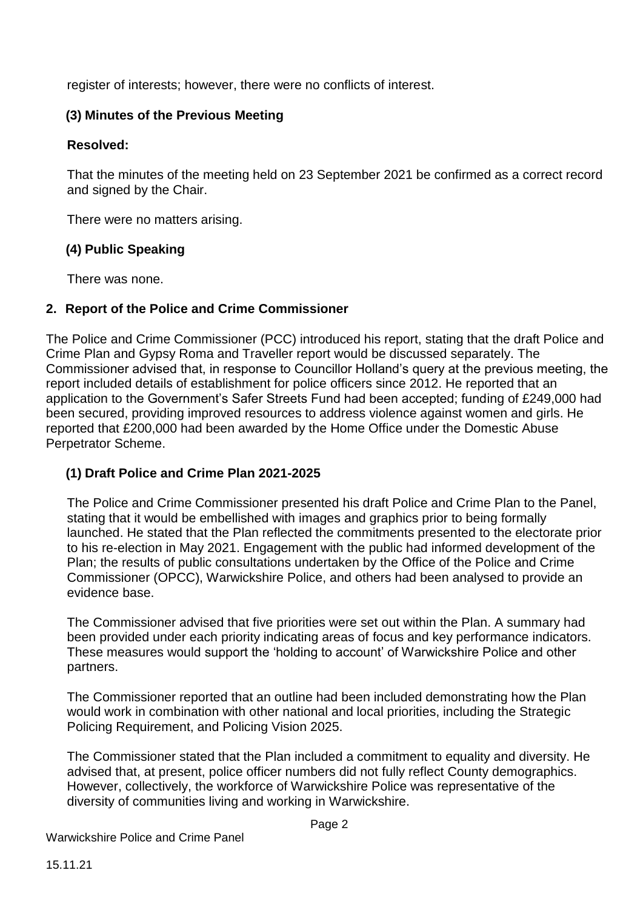register of interests; however, there were no conflicts of interest.

#### **(3) Minutes of the Previous Meeting**

#### **Resolved:**

That the minutes of the meeting held on 23 September 2021 be confirmed as a correct record and signed by the Chair.

There were no matters arising.

#### **(4) Public Speaking**

There was none.

#### **2. Report of the Police and Crime Commissioner**

The Police and Crime Commissioner (PCC) introduced his report, stating that the draft Police and Crime Plan and Gypsy Roma and Traveller report would be discussed separately. The Commissioner advised that, in response to Councillor Holland's query at the previous meeting, the report included details of establishment for police officers since 2012. He reported that an application to the Government's Safer Streets Fund had been accepted; funding of £249,000 had been secured, providing improved resources to address violence against women and girls. He reported that £200,000 had been awarded by the Home Office under the Domestic Abuse Perpetrator Scheme.

#### **(1) Draft Police and Crime Plan 2021-2025**

The Police and Crime Commissioner presented his draft Police and Crime Plan to the Panel, stating that it would be embellished with images and graphics prior to being formally launched. He stated that the Plan reflected the commitments presented to the electorate prior to his re-election in May 2021. Engagement with the public had informed development of the Plan; the results of public consultations undertaken by the Office of the Police and Crime Commissioner (OPCC), Warwickshire Police, and others had been analysed to provide an evidence base.

The Commissioner advised that five priorities were set out within the Plan. A summary had been provided under each priority indicating areas of focus and key performance indicators. These measures would support the 'holding to account' of Warwickshire Police and other partners.

The Commissioner reported that an outline had been included demonstrating how the Plan would work in combination with other national and local priorities, including the Strategic Policing Requirement, and Policing Vision 2025.

The Commissioner stated that the Plan included a commitment to equality and diversity. He advised that, at present, police officer numbers did not fully reflect County demographics. However, collectively, the workforce of Warwickshire Police was representative of the diversity of communities living and working in Warwickshire.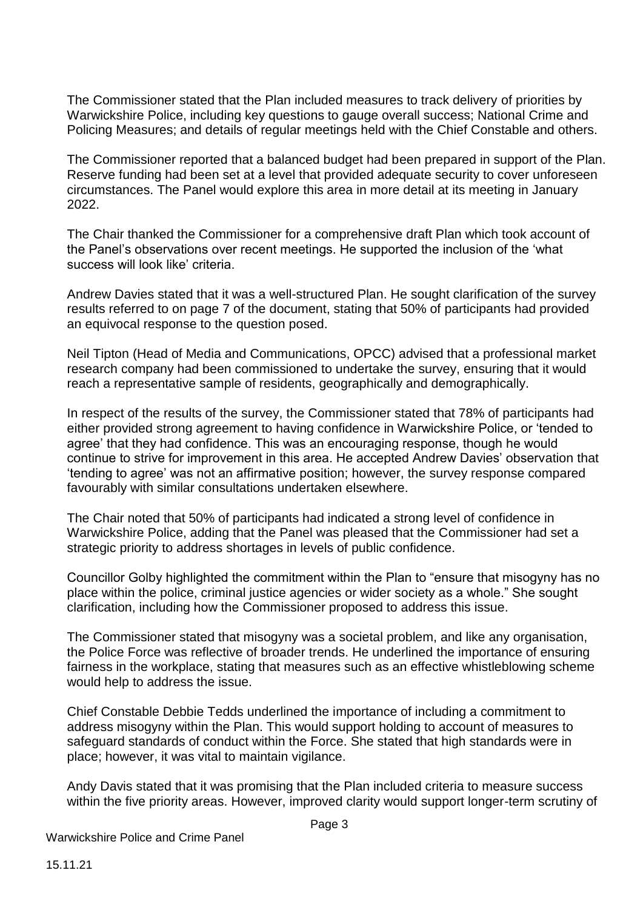The Commissioner stated that the Plan included measures to track delivery of priorities by Warwickshire Police, including key questions to gauge overall success; National Crime and Policing Measures; and details of regular meetings held with the Chief Constable and others.

The Commissioner reported that a balanced budget had been prepared in support of the Plan. Reserve funding had been set at a level that provided adequate security to cover unforeseen circumstances. The Panel would explore this area in more detail at its meeting in January 2022.

The Chair thanked the Commissioner for a comprehensive draft Plan which took account of the Panel's observations over recent meetings. He supported the inclusion of the 'what success will look like' criteria.

Andrew Davies stated that it was a well-structured Plan. He sought clarification of the survey results referred to on page 7 of the document, stating that 50% of participants had provided an equivocal response to the question posed.

Neil Tipton (Head of Media and Communications, OPCC) advised that a professional market research company had been commissioned to undertake the survey, ensuring that it would reach a representative sample of residents, geographically and demographically.

In respect of the results of the survey, the Commissioner stated that 78% of participants had either provided strong agreement to having confidence in Warwickshire Police, or 'tended to agree' that they had confidence. This was an encouraging response, though he would continue to strive for improvement in this area. He accepted Andrew Davies' observation that 'tending to agree' was not an affirmative position; however, the survey response compared favourably with similar consultations undertaken elsewhere.

The Chair noted that 50% of participants had indicated a strong level of confidence in Warwickshire Police, adding that the Panel was pleased that the Commissioner had set a strategic priority to address shortages in levels of public confidence.

Councillor Golby highlighted the commitment within the Plan to "ensure that misogyny has no place within the police, criminal justice agencies or wider society as a whole." She sought clarification, including how the Commissioner proposed to address this issue.

The Commissioner stated that misogyny was a societal problem, and like any organisation, the Police Force was reflective of broader trends. He underlined the importance of ensuring fairness in the workplace, stating that measures such as an effective whistleblowing scheme would help to address the issue.

Chief Constable Debbie Tedds underlined the importance of including a commitment to address misogyny within the Plan. This would support holding to account of measures to safeguard standards of conduct within the Force. She stated that high standards were in place; however, it was vital to maintain vigilance.

Andy Davis stated that it was promising that the Plan included criteria to measure success within the five priority areas. However, improved clarity would support longer-term scrutiny of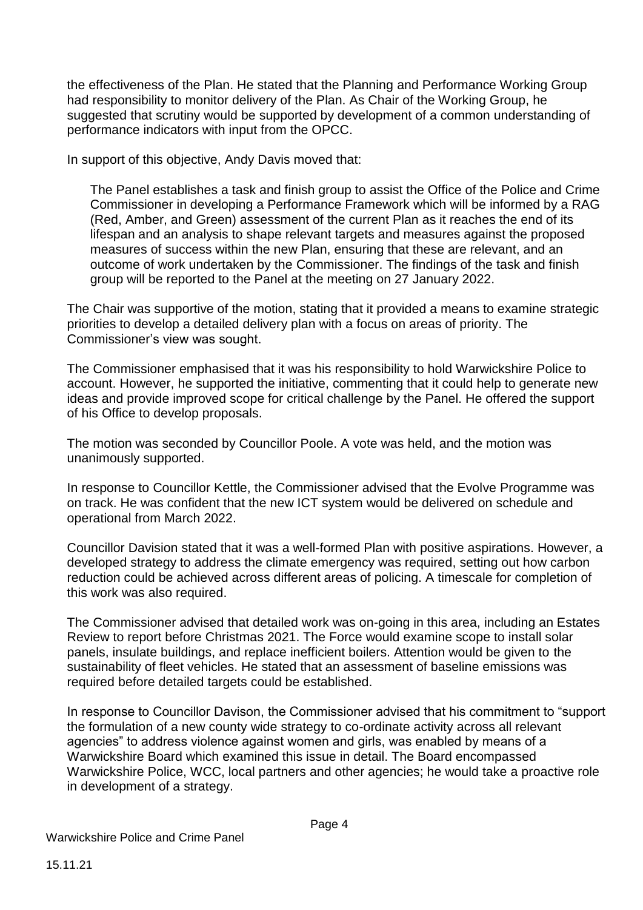the effectiveness of the Plan. He stated that the Planning and Performance Working Group had responsibility to monitor delivery of the Plan. As Chair of the Working Group, he suggested that scrutiny would be supported by development of a common understanding of performance indicators with input from the OPCC.

In support of this objective, Andy Davis moved that:

The Panel establishes a task and finish group to assist the Office of the Police and Crime Commissioner in developing a Performance Framework which will be informed by a RAG (Red, Amber, and Green) assessment of the current Plan as it reaches the end of its lifespan and an analysis to shape relevant targets and measures against the proposed measures of success within the new Plan, ensuring that these are relevant, and an outcome of work undertaken by the Commissioner. The findings of the task and finish group will be reported to the Panel at the meeting on 27 January 2022.

The Chair was supportive of the motion, stating that it provided a means to examine strategic priorities to develop a detailed delivery plan with a focus on areas of priority. The Commissioner's view was sought.

The Commissioner emphasised that it was his responsibility to hold Warwickshire Police to account. However, he supported the initiative, commenting that it could help to generate new ideas and provide improved scope for critical challenge by the Panel. He offered the support of his Office to develop proposals.

The motion was seconded by Councillor Poole. A vote was held, and the motion was unanimously supported.

In response to Councillor Kettle, the Commissioner advised that the Evolve Programme was on track. He was confident that the new ICT system would be delivered on schedule and operational from March 2022.

Councillor Davision stated that it was a well-formed Plan with positive aspirations. However, a developed strategy to address the climate emergency was required, setting out how carbon reduction could be achieved across different areas of policing. A timescale for completion of this work was also required.

The Commissioner advised that detailed work was on-going in this area, including an Estates Review to report before Christmas 2021. The Force would examine scope to install solar panels, insulate buildings, and replace inefficient boilers. Attention would be given to the sustainability of fleet vehicles. He stated that an assessment of baseline emissions was required before detailed targets could be established.

In response to Councillor Davison, the Commissioner advised that his commitment to "support the formulation of a new county wide strategy to co-ordinate activity across all relevant agencies" to address violence against women and girls, was enabled by means of a Warwickshire Board which examined this issue in detail. The Board encompassed Warwickshire Police, WCC, local partners and other agencies; he would take a proactive role in development of a strategy.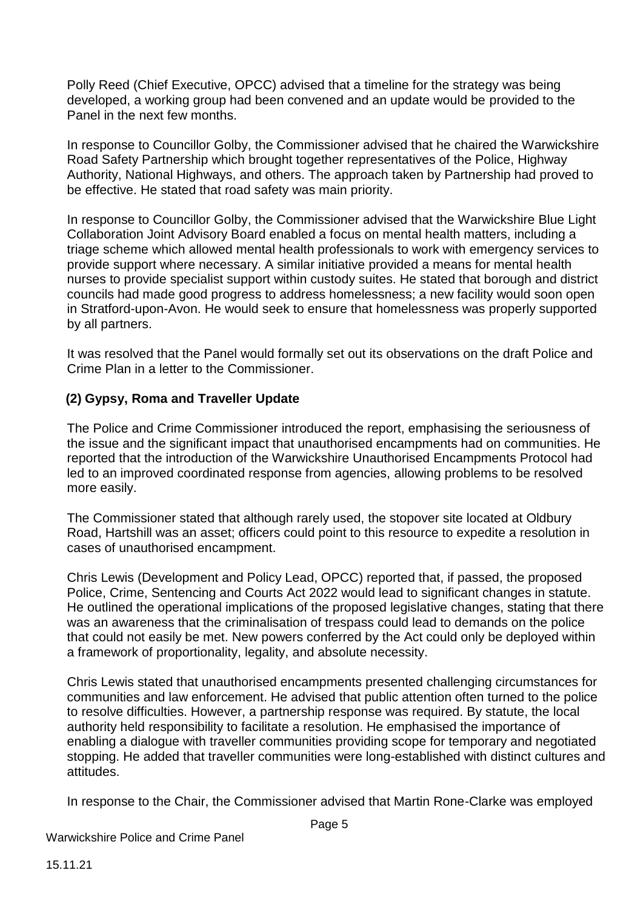Polly Reed (Chief Executive, OPCC) advised that a timeline for the strategy was being developed, a working group had been convened and an update would be provided to the Panel in the next few months.

In response to Councillor Golby, the Commissioner advised that he chaired the Warwickshire Road Safety Partnership which brought together representatives of the Police, Highway Authority, National Highways, and others. The approach taken by Partnership had proved to be effective. He stated that road safety was main priority.

In response to Councillor Golby, the Commissioner advised that the Warwickshire Blue Light Collaboration Joint Advisory Board enabled a focus on mental health matters, including a triage scheme which allowed mental health professionals to work with emergency services to provide support where necessary. A similar initiative provided a means for mental health nurses to provide specialist support within custody suites. He stated that borough and district councils had made good progress to address homelessness; a new facility would soon open in Stratford-upon-Avon. He would seek to ensure that homelessness was properly supported by all partners.

It was resolved that the Panel would formally set out its observations on the draft Police and Crime Plan in a letter to the Commissioner.

#### **(2) Gypsy, Roma and Traveller Update**

The Police and Crime Commissioner introduced the report, emphasising the seriousness of the issue and the significant impact that unauthorised encampments had on communities. He reported that the introduction of the Warwickshire Unauthorised Encampments Protocol had led to an improved coordinated response from agencies, allowing problems to be resolved more easily.

The Commissioner stated that although rarely used, the stopover site located at Oldbury Road, Hartshill was an asset; officers could point to this resource to expedite a resolution in cases of unauthorised encampment.

Chris Lewis (Development and Policy Lead, OPCC) reported that, if passed, the proposed Police, Crime, Sentencing and Courts Act 2022 would lead to significant changes in statute. He outlined the operational implications of the proposed legislative changes, stating that there was an awareness that the criminalisation of trespass could lead to demands on the police that could not easily be met. New powers conferred by the Act could only be deployed within a framework of proportionality, legality, and absolute necessity.

Chris Lewis stated that unauthorised encampments presented challenging circumstances for communities and law enforcement. He advised that public attention often turned to the police to resolve difficulties. However, a partnership response was required. By statute, the local authority held responsibility to facilitate a resolution. He emphasised the importance of enabling a dialogue with traveller communities providing scope for temporary and negotiated stopping. He added that traveller communities were long-established with distinct cultures and attitudes.

In response to the Chair, the Commissioner advised that Martin Rone-Clarke was employed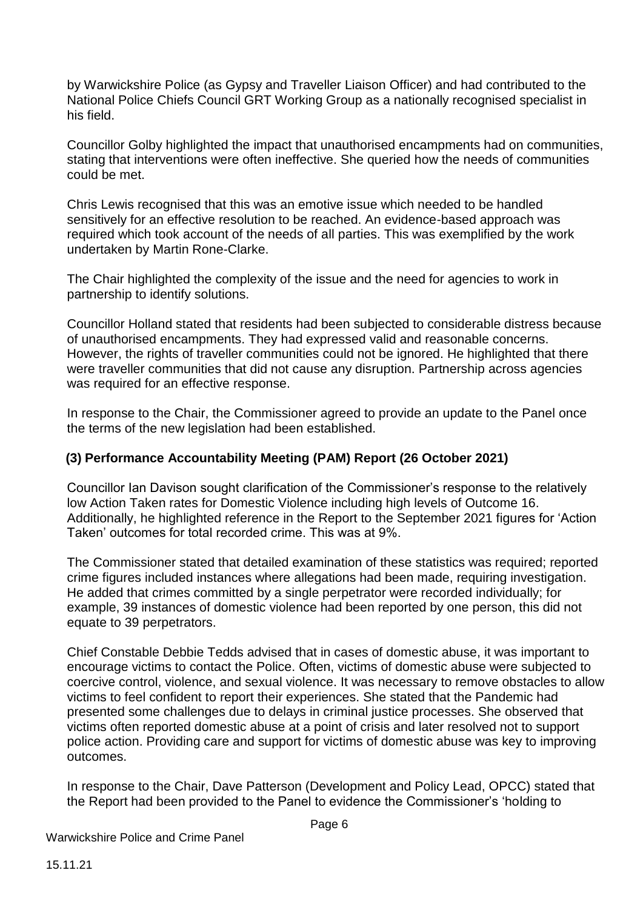by Warwickshire Police (as Gypsy and Traveller Liaison Officer) and had contributed to the National Police Chiefs Council GRT Working Group as a nationally recognised specialist in his field.

Councillor Golby highlighted the impact that unauthorised encampments had on communities, stating that interventions were often ineffective. She queried how the needs of communities could be met.

Chris Lewis recognised that this was an emotive issue which needed to be handled sensitively for an effective resolution to be reached. An evidence-based approach was required which took account of the needs of all parties. This was exemplified by the work undertaken by Martin Rone-Clarke.

The Chair highlighted the complexity of the issue and the need for agencies to work in partnership to identify solutions.

Councillor Holland stated that residents had been subjected to considerable distress because of unauthorised encampments. They had expressed valid and reasonable concerns. However, the rights of traveller communities could not be ignored. He highlighted that there were traveller communities that did not cause any disruption. Partnership across agencies was required for an effective response.

In response to the Chair, the Commissioner agreed to provide an update to the Panel once the terms of the new legislation had been established.

#### **(3) Performance Accountability Meeting (PAM) Report (26 October 2021)**

Councillor Ian Davison sought clarification of the Commissioner's response to the relatively low Action Taken rates for Domestic Violence including high levels of Outcome 16. Additionally, he highlighted reference in the Report to the September 2021 figures for 'Action Taken' outcomes for total recorded crime. This was at 9%.

The Commissioner stated that detailed examination of these statistics was required; reported crime figures included instances where allegations had been made, requiring investigation. He added that crimes committed by a single perpetrator were recorded individually; for example, 39 instances of domestic violence had been reported by one person, this did not equate to 39 perpetrators.

Chief Constable Debbie Tedds advised that in cases of domestic abuse, it was important to encourage victims to contact the Police. Often, victims of domestic abuse were subjected to coercive control, violence, and sexual violence. It was necessary to remove obstacles to allow victims to feel confident to report their experiences. She stated that the Pandemic had presented some challenges due to delays in criminal justice processes. She observed that victims often reported domestic abuse at a point of crisis and later resolved not to support police action. Providing care and support for victims of domestic abuse was key to improving outcomes.

In response to the Chair, Dave Patterson (Development and Policy Lead, OPCC) stated that the Report had been provided to the Panel to evidence the Commissioner's 'holding to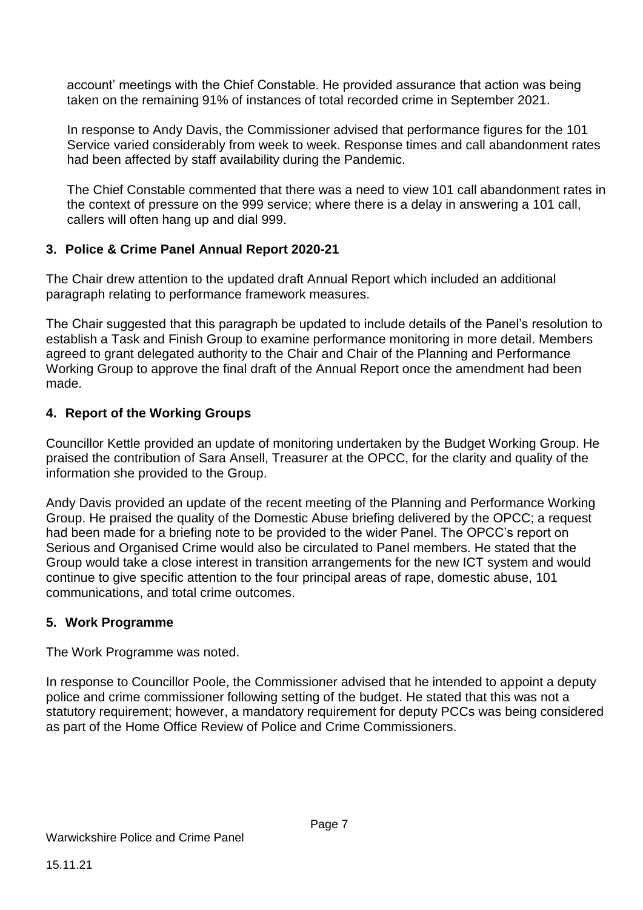account' meetings with the Chief Constable. He provided assurance that action was being taken on the remaining 91% of instances of total recorded crime in September 2021.

In response to Andy Davis, the Commissioner advised that performance figures for the 101 Service varied considerably from week to week. Response times and call abandonment rates had been affected by staff availability during the Pandemic.

The Chief Constable commented that there was a need to view 101 call abandonment rates in the context of pressure on the 999 service; where there is a delay in answering a 101 call, callers will often hang up and dial 999.

#### **3. Police & Crime Panel Annual Report 2020-21**

The Chair drew attention to the updated draft Annual Report which included an additional paragraph relating to performance framework measures.

The Chair suggested that this paragraph be updated to include details of the Panel's resolution to establish a Task and Finish Group to examine performance monitoring in more detail. Members agreed to grant delegated authority to the Chair and Chair of the Planning and Performance Working Group to approve the final draft of the Annual Report once the amendment had been made.

#### **4. Report of the Working Groups**

Councillor Kettle provided an update of monitoring undertaken by the Budget Working Group. He praised the contribution of Sara Ansell, Treasurer at the OPCC, for the clarity and quality of the information she provided to the Group.

Andy Davis provided an update of the recent meeting of the Planning and Performance Working Group. He praised the quality of the Domestic Abuse briefing delivered by the OPCC; a request had been made for a briefing note to be provided to the wider Panel. The OPCC's report on Serious and Organised Crime would also be circulated to Panel members. He stated that the Group would take a close interest in transition arrangements for the new ICT system and would continue to give specific attention to the four principal areas of rape, domestic abuse, 101 communications, and total crime outcomes.

#### **5. Work Programme**

The Work Programme was noted.

In response to Councillor Poole, the Commissioner advised that he intended to appoint a deputy police and crime commissioner following setting of the budget. He stated that this was not a statutory requirement; however, a mandatory requirement for deputy PCCs was being considered as part of the Home Office Review of Police and Crime Commissioners.